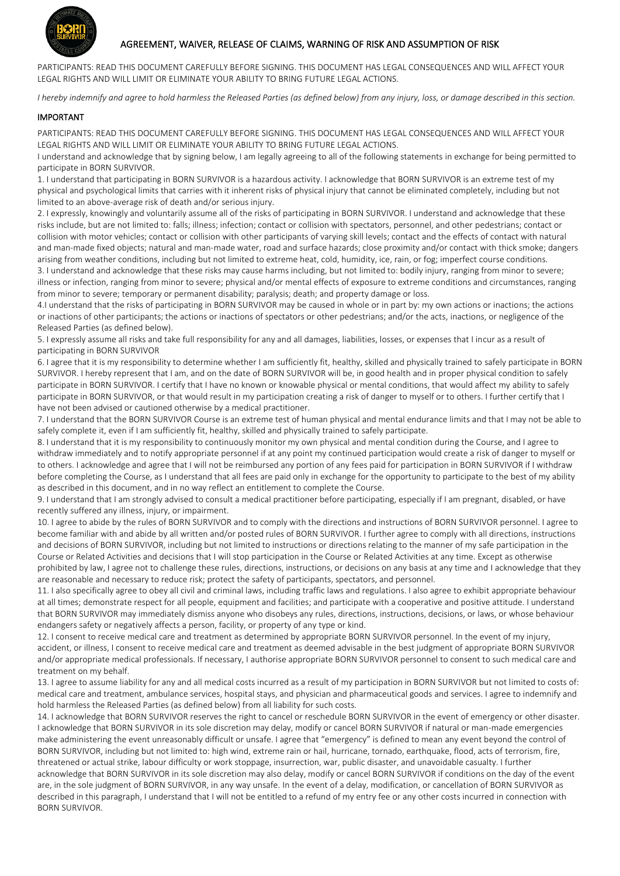

## AGREEMENT, WAIVER, RELEASE OF CLAIMS, WARNING OF RISK AND ASSUMPTION OF RISK

PARTICIPANTS: READ THIS DOCUMENT CAREFULLY BEFORE SIGNING. THIS DOCUMENT HAS LEGAL CONSEQUENCES AND WILL AFFECT YOUR LEGAL RIGHTS AND WILL LIMIT OR ELIMINATE YOUR ABILITY TO BRING FUTURE LEGAL ACTIONS.

*I hereby indemnify and agree to hold harmless the Released Parties (as defined below) from any injury, loss, or damage described in this section.*

## IMPORTANT

PARTICIPANTS: READ THIS DOCUMENT CAREFULLY BEFORE SIGNING. THIS DOCUMENT HAS LEGAL CONSEQUENCES AND WILL AFFECT YOUR LEGAL RIGHTS AND WILL LIMIT OR ELIMINATE YOUR ABILITY TO BRING FUTURE LEGAL ACTIONS.

I understand and acknowledge that by signing below, I am legally agreeing to all of the following statements in exchange for being permitted to participate in BORN SURVIVOR.

1. I understand that participating in BORN SURVIVOR is a hazardous activity. I acknowledge that BORN SURVIVOR is an extreme test of my physical and psychological limits that carries with it inherent risks of physical injury that cannot be eliminated completely, including but not limited to an above-average risk of death and/or serious injury.

2. I expressly, knowingly and voluntarily assume all of the risks of participating in BORN SURVIVOR. I understand and acknowledge that these risks include, but are not limited to: falls; illness; infection; contact or collision with spectators, personnel, and other pedestrians; contact or collision with motor vehicles; contact or collision with other participants of varying skill levels; contact and the effects of contact with natural and man-made fixed objects; natural and man-made water, road and surface hazards; close proximity and/or contact with thick smoke; dangers arising from weather conditions, including but not limited to extreme heat, cold, humidity, ice, rain, or fog; imperfect course conditions. 3. I understand and acknowledge that these risks may cause harms including, but not limited to: bodily injury, ranging from minor to severe;

illness or infection, ranging from minor to severe; physical and/or mental effects of exposure to extreme conditions and circumstances, ranging from minor to severe; temporary or permanent disability; paralysis; death; and property damage or loss.

4.I understand that the risks of participating in BORN SURVIVOR may be caused in whole or in part by: my own actions or inactions; the actions or inactions of other participants; the actions or inactions of spectators or other pedestrians; and/or the acts, inactions, or negligence of the Released Parties (as defined below).

5. I expressly assume all risks and take full responsibility for any and all damages, liabilities, losses, or expenses that I incur as a result of participating in BORN SURVIVOR

6. I agree that it is my responsibility to determine whether I am sufficiently fit, healthy, skilled and physically trained to safely participate in BORN SURVIVOR. I hereby represent that I am, and on the date of BORN SURVIVOR will be, in good health and in proper physical condition to safely participate in BORN SURVIVOR. I certify that I have no known or knowable physical or mental conditions, that would affect my ability to safely participate in BORN SURVIVOR, or that would result in my participation creating a risk of danger to myself or to others. I further certify that I have not been advised or cautioned otherwise by a medical practitioner.

7. I understand that the BORN SURVIVOR Course is an extreme test of human physical and mental endurance limits and that I may not be able to safely complete it, even if I am sufficiently fit, healthy, skilled and physically trained to safely participate.

8. I understand that it is my responsibility to continuously monitor my own physical and mental condition during the Course, and I agree to withdraw immediately and to notify appropriate personnel if at any point my continued participation would create a risk of danger to myself or to others. I acknowledge and agree that I will not be reimbursed any portion of any fees paid for participation in BORN SURVIVOR if I withdraw before completing the Course, as I understand that all fees are paid only in exchange for the opportunity to participate to the best of my ability as described in this document, and in no way reflect an entitlement to complete the Course.

9. I understand that I am strongly advised to consult a medical practitioner before participating, especially if I am pregnant, disabled, or have recently suffered any illness, injury, or impairment.

10. I agree to abide by the rules of BORN SURVIVOR and to comply with the directions and instructions of BORN SURVIVOR personnel. I agree to become familiar with and abide by all written and/or posted rules of BORN SURVIVOR. I further agree to comply with all directions, instructions and decisions of BORN SURVIVOR, including but not limited to instructions or directions relating to the manner of my safe participation in the Course or Related Activities and decisions that I will stop participation in the Course or Related Activities at any time. Except as otherwise prohibited by law, I agree not to challenge these rules, directions, instructions, or decisions on any basis at any time and I acknowledge that they are reasonable and necessary to reduce risk; protect the safety of participants, spectators, and personnel.

11. I also specifically agree to obey all civil and criminal laws, including traffic laws and regulations. I also agree to exhibit appropriate behaviour at all times; demonstrate respect for all people, equipment and facilities; and participate with a cooperative and positive attitude. I understand that BORN SURVIVOR may immediately dismiss anyone who disobeys any rules, directions, instructions, decisions, or laws, or whose behaviour endangers safety or negatively affects a person, facility, or property of any type or kind.

12. I consent to receive medical care and treatment as determined by appropriate BORN SURVIVOR personnel. In the event of my injury, accident, or illness, I consent to receive medical care and treatment as deemed advisable in the best judgment of appropriate BORN SURVIVOR and/or appropriate medical professionals. If necessary, I authorise appropriate BORN SURVIVOR personnel to consent to such medical care and treatment on my behalf.

13. I agree to assume liability for any and all medical costs incurred as a result of my participation in BORN SURVIVOR but not limited to costs of: medical care and treatment, ambulance services, hospital stays, and physician and pharmaceutical goods and services. I agree to indemnify and hold harmless the Released Parties (as defined below) from all liability for such costs.

14. I acknowledge that BORN SURVIVOR reserves the right to cancel or reschedule BORN SURVIVOR in the event of emergency or other disaster. I acknowledge that BORN SURVIVOR in its sole discretion may delay, modify or cancel BORN SURVIVOR if natural or man-made emergencies make administering the event unreasonably difficult or unsafe. I agree that "emergency" is defined to mean any event beyond the control of BORN SURVIVOR, including but not limited to: high wind, extreme rain or hail, hurricane, tornado, earthquake, flood, acts of terrorism, fire, threatened or actual strike, labour difficulty or work stoppage, insurrection, war, public disaster, and unavoidable casualty. I further acknowledge that BORN SURVIVOR in its sole discretion may also delay, modify or cancel BORN SURVIVOR if conditions on the day of the event are, in the sole judgment of BORN SURVIVOR, in any way unsafe. In the event of a delay, modification, or cancellation of BORN SURVIVOR as described in this paragraph, I understand that I will not be entitled to a refund of my entry fee or any other costs incurred in connection with BORN SURVIVOR.